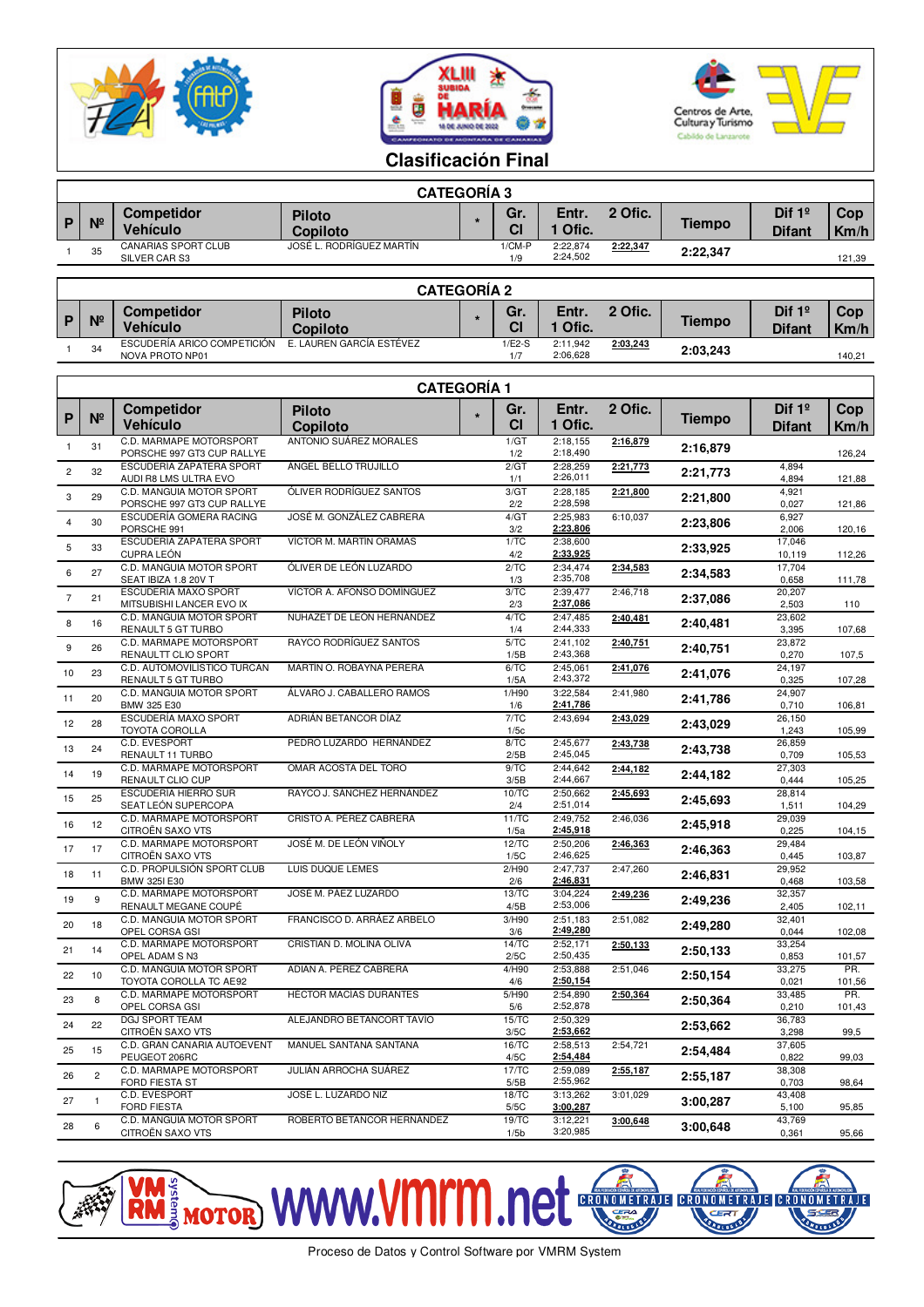





## **Clasificación Final**

|   | <b>CATEGORIA 3</b> |                                             |                                  |  |                 |                      |          |               |                           |                    |  |
|---|--------------------|---------------------------------------------|----------------------------------|--|-----------------|----------------------|----------|---------------|---------------------------|--------------------|--|
| P | N <sup>2</sup>     | <b>Competidor</b><br><b>Vehículo</b>        | <b>Piloto</b><br><b>Copiloto</b> |  | Gr.<br>СI       | Entr.<br>Ofic.       | 2 Ofic.  | <b>Tiempo</b> | Dif $1°$<br><b>Difant</b> | <b>Cop</b><br>Km/h |  |
|   | 35                 | <b>CANARIAS SPORT CLUB</b><br>SILVER CAR S3 | JOSÉ L. RODRÍGUEZ MARTÍN         |  | $1/CM-P$<br>1/9 | 2:22,874<br>2:24,502 | 2:22,347 | 2:22.347      |                           | 121,39             |  |

|              | <b>CATEGORIA 2</b> |                                                |                           |  |                 |                      |          |               |                           |                    |  |
|--------------|--------------------|------------------------------------------------|---------------------------|--|-----------------|----------------------|----------|---------------|---------------------------|--------------------|--|
| $\mathsf{P}$ | N <sup>2</sup>     | <b>Competidor</b><br><b>Vehículo</b>           | <b>Piloto</b><br>Copiloto |  | Gr.<br>СI       | Entr.<br>Ofic.       | 2 Ofic.  | <b>Tiempo</b> | Dif $1°$<br><b>Difant</b> | <b>Cop</b><br>Km/h |  |
|              | 34                 | ESCUDERÍA ARICO COMPETICIÓN<br>NOVA PROTO NP01 | E. LAUREN GARCÍA ESTÉVEZ  |  | $1/E2-S$<br>1/7 | 2:11.942<br>2:06,628 | 2:03,243 | 2:03.243      |                           | 140.21             |  |

|                | <b>CATEGORÍA 1</b> |                                                        |                                                  |         |                   |                      |          |          |                  |               |
|----------------|--------------------|--------------------------------------------------------|--------------------------------------------------|---------|-------------------|----------------------|----------|----------|------------------|---------------|
| P              | $N^{\circ}$        | <b>Competidor</b>                                      | <b>Piloto</b>                                    | $\star$ | Gr.               | Entr.                | 2 Ofic.  | Tiempo   | Dif $1°$         | Cop.          |
|                | 31                 | <b>Vehículo</b><br>C.D. MARMAPE MOTORSPORT             | <b>Copiloto</b><br><b>ANTONIO SUÁREZ MORALES</b> |         | <b>CI</b><br>1/GT | 1 Ofic.<br>2:18.155  | 2:16,879 |          | <b>Difant</b>    | Km/h          |
| $\mathbf{1}$   |                    | PORSCHE 997 GT3 CUP RALLYE<br>ESCUDERÍA ZAPATERA SPORT | ÁNGEL BELLO TRUJILLO                             |         | 1/2<br>2/GT       | 2:18,490<br>2:28,259 | 2:21,773 | 2:16,879 | 4,894            | 126,24        |
| $\overline{c}$ | 32                 | AUDI R8 LMS ULTRA EVO                                  |                                                  |         | 1/1               | 2:26,011             |          | 2:21,773 | 4,894            | 121,88        |
| 3              | 29                 | C.D. MANGUIA MOTOR SPORT<br>PORSCHE 997 GT3 CUP RALLYE | ÓLIVER RODRÍGUEZ SANTOS                          |         | 3/GT<br>2/2       | 2:28,185<br>2:28,598 | 2:21,800 | 2:21,800 | 4,921<br>0,027   | 121,86        |
| $\overline{4}$ | 30                 | ESCUDERÍA GOMERA RACING<br>PORSCHE 991                 | JOSÉ M. GONZÁLEZ CABRERA                         |         | 4/GT<br>3/2       | 2:25,983<br>2:23,806 | 6:10,037 | 2:23,806 | 6,927<br>2,006   | 120,16        |
| 5              | 33                 | ESCUDERÍA ZAPATERA SPORT<br><b>CUPRA LEÓN</b>          | VÍCTOR M. MARTÍN ORAMAS                          |         | 1/TC<br>4/2       | 2:38.600<br>2:33,925 |          | 2:33,925 | 17,046<br>10,119 | 112,26        |
| 6              | 27                 | C.D. MANGUIA MOTOR SPORT                               | ÓLIVER DE LEÓN LUZARDO                           |         | 2/TC              | 2:34.474<br>2:35,708 | 2:34,583 | 2:34,583 | 17,704           |               |
| $\overline{7}$ | 21                 | SEAT IBIZA 1.8 20V T<br>ESCUDERÍA MAXO SPORT           | VÍCTOR A. AFONSO DOMÍNGUEZ                       |         | 1/3<br>3/TC       | 2:39,477             | 2:46,718 | 2:37,086 | 0,658<br>20,207  | 111,78        |
|                |                    | MITSUBISHI LANCER EVO IX<br>C.D. MANGUIA MOTOR SPORT   | NUHAZET DE LEÓN HERNÁNDEZ                        |         | 2/3<br>4/TC       | 2:37,086<br>2:47,485 | 2:40,481 |          | 2,503<br>23,602  | 110           |
| 8              | 16                 | RENAULT 5 GT TURBO<br>C.D. MARMAPE MOTORSPORT          | RAYCO RODRÍGUEZ SANTOS                           |         | 1/4<br>5/TC       | 2:44,333<br>2:41,102 | 2:40,751 | 2:40,481 | 3,395<br>23,872  | 107,68        |
| 9              | 26                 | RENAULTT CLIO SPORT                                    |                                                  |         | 1/5B              | 2:43,368             |          | 2:40,751 | 0,270            | 107,5         |
| 10             | 23                 | C.D. AUTOMOVILÍSTICO TURCAN<br>RENAULT 5 GT TURBO      | MARTÍN O. ROBAYNA PERERA                         |         | 6/TC<br>1/5A      | 2:45,061<br>2:43,372 | 2:41,076 | 2:41,076 | 24,197<br>0,325  | 107,28        |
| 11             | 20                 | C.D. MANGUIA MOTOR SPORT<br>BMW 325 E30                | ÁLVARO J. CABALLERO RAMOS                        |         | 1/H90<br>1/6      | 3:22,584<br>2:41,786 | 2:41,980 | 2:41,786 | 24,907<br>0,710  | 106,81        |
| 12             | 28                 | ESCUDERÍA MAXO SPORT<br>TOYOTA COROLLA                 | ADRIÁN BETANCOR DÍAZ                             |         | 7/TC<br>1/5c      | 2:43,694             | 2:43,029 | 2:43,029 | 26,150<br>1,243  | 105,99        |
| 13             | 24                 | C.D. EVESPORT                                          | PEDRO LUZARDO HERNÁNDEZ                          |         | 8/TC              | 2:45,677<br>2:45,045 | 2:43,738 | 2:43,738 | 26,859           |               |
| 14             | 19                 | RENAULT 11 TURBO<br>C.D. MARMAPE MOTORSPORT            | OMAR ACOSTA DEL TORO                             |         | 2/5B<br>9/TC      | 2:44.642             | 2:44,182 | 2:44,182 | 0,709<br>27.303  | 105,53        |
|                | 25                 | RENAULT CLIO CUP<br>ESCUDERÍA HIERRO SUR               | RAYCO J. SÁNCHEZ HERNÁNDEZ                       |         | 3/5B<br>10/TC     | 2:44,667<br>2:50,662 | 2:45,693 |          | 0.444<br>28,814  | 105,25        |
| 15             |                    | SEAT LEÓN SUPERCOPA<br>C.D. MARMAPE MOTORSPORT         | CRISTO A. PÉREZ CABRERA                          |         | 2/4<br>11/TC      | 2:51,014<br>2:49,752 | 2:46,036 | 2:45,693 | 1,511<br>29,039  | 104,29        |
| 16             | 12                 | CITROËN SAXO VTS                                       |                                                  |         | 1/5a              | 2:45,918             |          | 2:45,918 | 0,225            | 104,15        |
| 17             | 17                 | C.D. MARMAPE MOTORSPORT<br>CITROËN SAXO VTS            | JOSÉ M. DE LEÓN VIÑOLY                           |         | 12/TC<br>1/5C     | 2:50,206<br>2:46,625 | 2:46,363 | 2:46,363 | 29,484<br>0,445  | 103,87        |
| 18             | 11                 | C.D. PROPULSIÓN SPORT CLUB<br>BMW 325I E30             | <b>LUIS DUQUE LEMES</b>                          |         | 2/H90<br>2/6      | 2:47,737<br>2:46,831 | 2:47,260 | 2:46,831 | 29,952<br>0,468  | 103,58        |
| 19             | 9                  | C.D. MARMAPE MOTORSPORT<br>RENAULT MEGANE COUPÉ        | JOSÉ M. PÁEZ LUZARDO                             |         | 13/TC<br>4/5B     | 3:04,224<br>2:53,006 | 2:49,236 | 2:49,236 | 32,357<br>2,405  | 102,11        |
| 20             | 18                 | C.D. MANGUIA MOTOR SPORT                               | FRANCISCO D. ARRÁEZ ARBELO                       |         | 3/H90             | 2:51.183<br>2:49,280 | 2:51,082 | 2:49,280 | 32,401<br>0,044  |               |
| 21             | 14                 | OPEL CORSA GSI<br>C.D. MARMAPE MOTORSPORT              | CRISTIAN D. MOLINA OLIVA                         |         | 3/6<br>14/TC      | 2:52.171             | 2:50,133 | 2:50,133 | 33,254           | 102,08        |
| 22             | 10                 | OPEL ADAM S N3<br>C.D. MANGUIA MOTOR SPORT             | ADIAN A. PÉREZ CABRERA                           |         | 2/5C<br>4/H90     | 2:50,435<br>2:53,888 | 2:51,046 | 2:50,154 | 0,853<br>33,275  | 101,57<br>PR. |
|                |                    | TOYOTA COROLLA TC AE92<br>C.D. MARMAPE MOTORSPORT      | <b>HÉCTOR MACÍAS DURANTES</b>                    |         | 4/6<br>5/H90      | 2:50,154<br>2:54,890 | 2:50,364 |          | 0,021<br>33,485  | 101,56<br>PR. |
| 23             | 8                  | OPEL CORSA GSI<br><b>DGJ SPORT TEAM</b>                |                                                  |         | 5/6<br>15/TC      | 2:52,878<br>2:50,329 |          | 2:50,364 | 0,210<br>36,783  | 101,43        |
| 24             | 22                 | CITROËN SAXO VTS                                       | ALEJANDRO BETANCORT TAVÍO                        |         | 3/5C              | 2:53,662             |          | 2:53,662 | 3,298            | 99,5          |
| 25             | 15                 | C.D. GRAN CANARIA AUTOEVENT<br>PEUGEOT 206RC           | MANUEL SANTANA SANTANA                           |         | 16/TC<br>4/5C     | 2:58,513<br>2:54,484 | 2:54,721 | 2:54,484 | 37,605<br>0,822  | 99,03         |
| 26             | $\overline{c}$     | C.D. MARMAPE MOTORSPORT<br><b>FORD FIESTA ST</b>       | JULIÁN ARROCHA SUÁREZ                            |         | 17/TC<br>5/5B     | 2:59,089<br>2:55,962 | 2:55,187 | 2:55,187 | 38,308<br>0,703  | 98,64         |
| 27             | $\mathbf{1}$       | C.D. EVESPORT<br><b>FORD FIESTA</b>                    | JOSÉ L. LUZARDO NIZ                              |         | 18/TC<br>5/5C     | 3:13,262<br>3:00,287 | 3:01,029 | 3:00,287 | 43,408<br>5,100  |               |
| 28             | 6                  | C.D. MANGUIA MOTOR SPORT                               | ROBERTO BETANCOR HERNÁNDEZ                       |         | 19/TC             | 3:12,221             | 3:00,648 | 3:00,648 | 43,769           | 95,85         |
|                |                    | CITROËN SAXO VTS                                       |                                                  |         | 1/5 <sub>b</sub>  | 3:20,985             |          |          | 0,361            | 95,66         |